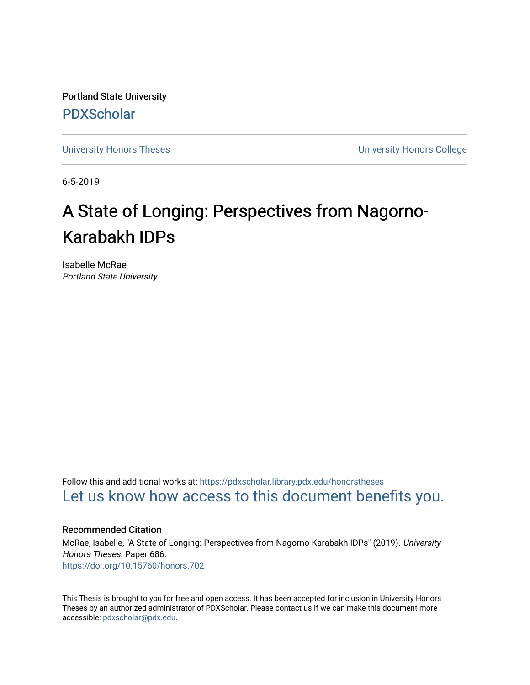Portland State University [PDXScholar](https://pdxscholar.library.pdx.edu/)

[University Honors Theses](https://pdxscholar.library.pdx.edu/honorstheses) [University Honors College](https://pdxscholar.library.pdx.edu/honors) 

6-5-2019

# A State of Longing: Perspectives from Nagorno-Karabakh IDPs

Isabelle McRae Portland State University

Follow this and additional works at: [https://pdxscholar.library.pdx.edu/honorstheses](https://pdxscholar.library.pdx.edu/honorstheses?utm_source=pdxscholar.library.pdx.edu%2Fhonorstheses%2F686&utm_medium=PDF&utm_campaign=PDFCoverPages)  [Let us know how access to this document benefits you.](http://library.pdx.edu/services/pdxscholar-services/pdxscholar-feedback/) 

## Recommended Citation

McRae, Isabelle, "A State of Longing: Perspectives from Nagorno-Karabakh IDPs" (2019). University Honors Theses. Paper 686. <https://doi.org/10.15760/honors.702>

This Thesis is brought to you for free and open access. It has been accepted for inclusion in University Honors Theses by an authorized administrator of PDXScholar. Please contact us if we can make this document more accessible: [pdxscholar@pdx.edu.](mailto:pdxscholar@pdx.edu)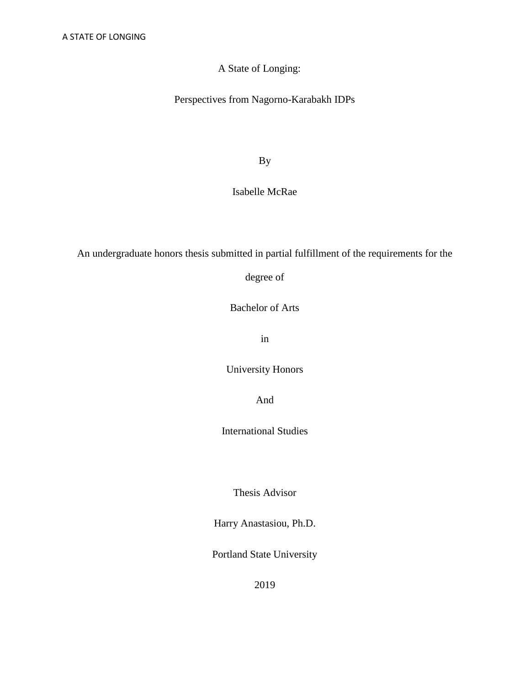A State of Longing:

Perspectives from Nagorno-Karabakh IDPs

By

# Isabelle McRae

An undergraduate honors thesis submitted in partial fulfillment of the requirements for the

degree of

Bachelor of Arts

in

University Honors

And

International Studies

Thesis Advisor

Harry Anastasiou, Ph.D.

Portland State University

2019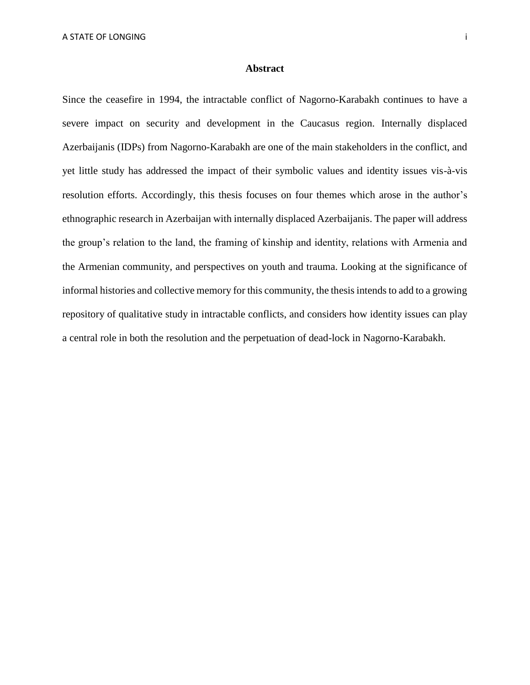#### **Abstract**

Since the ceasefire in 1994, the intractable conflict of Nagorno-Karabakh continues to have a severe impact on security and development in the Caucasus region. Internally displaced Azerbaijanis (IDPs) from Nagorno-Karabakh are one of the main stakeholders in the conflict, and yet little study has addressed the impact of their symbolic values and identity issues vis-à-vis resolution efforts. Accordingly, this thesis focuses on four themes which arose in the author's ethnographic research in Azerbaijan with internally displaced Azerbaijanis. The paper will address the group's relation to the land, the framing of kinship and identity, relations with Armenia and the Armenian community, and perspectives on youth and trauma. Looking at the significance of informal histories and collective memory for this community, the thesis intends to add to a growing repository of qualitative study in intractable conflicts, and considers how identity issues can play a central role in both the resolution and the perpetuation of dead-lock in Nagorno-Karabakh.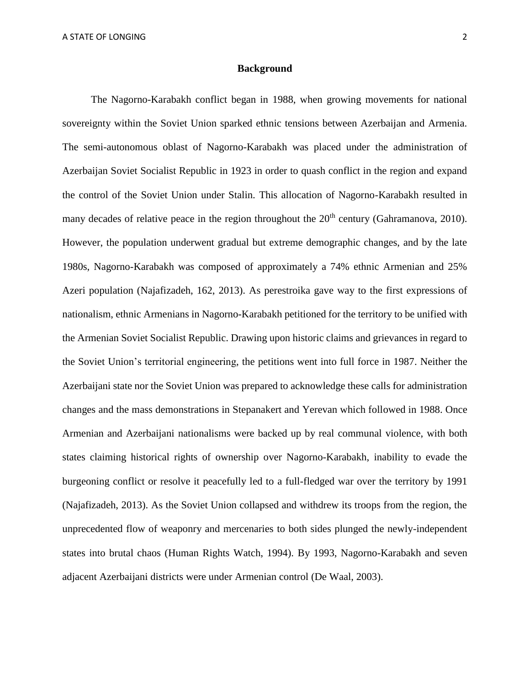#### **Background**

The Nagorno-Karabakh conflict began in 1988, when growing movements for national sovereignty within the Soviet Union sparked ethnic tensions between Azerbaijan and Armenia. The semi-autonomous oblast of Nagorno-Karabakh was placed under the administration of Azerbaijan Soviet Socialist Republic in 1923 in order to quash conflict in the region and expand the control of the Soviet Union under Stalin. This allocation of Nagorno-Karabakh resulted in many decades of relative peace in the region throughout the  $20<sup>th</sup>$  century (Gahramanova, 2010). However, the population underwent gradual but extreme demographic changes, and by the late 1980s, Nagorno-Karabakh was composed of approximately a 74% ethnic Armenian and 25% Azeri population (Najafizadeh, 162, 2013). As perestroika gave way to the first expressions of nationalism, ethnic Armenians in Nagorno-Karabakh petitioned for the territory to be unified with the Armenian Soviet Socialist Republic. Drawing upon historic claims and grievances in regard to the Soviet Union's territorial engineering, the petitions went into full force in 1987. Neither the Azerbaijani state nor the Soviet Union was prepared to acknowledge these calls for administration changes and the mass demonstrations in Stepanakert and Yerevan which followed in 1988. Once Armenian and Azerbaijani nationalisms were backed up by real communal violence, with both states claiming historical rights of ownership over Nagorno-Karabakh, inability to evade the burgeoning conflict or resolve it peacefully led to a full-fledged war over the territory by 1991 (Najafizadeh, 2013). As the Soviet Union collapsed and withdrew its troops from the region, the unprecedented flow of weaponry and mercenaries to both sides plunged the newly-independent states into brutal chaos (Human Rights Watch, 1994). By 1993, Nagorno-Karabakh and seven adjacent Azerbaijani districts were under Armenian control (De Waal, 2003).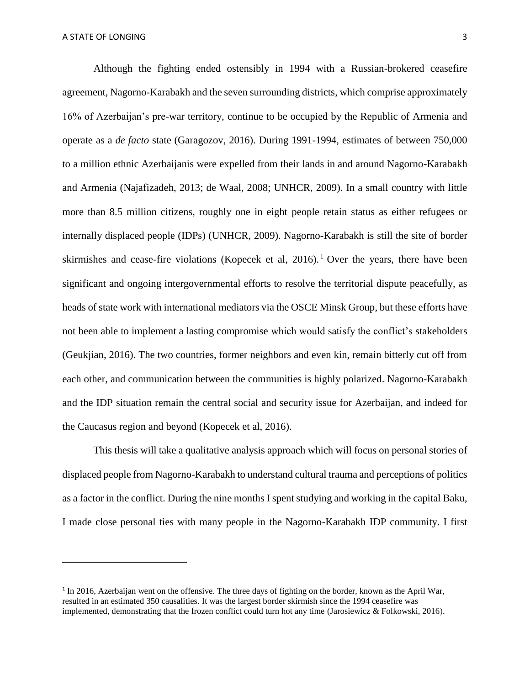$\overline{a}$ 

Although the fighting ended ostensibly in 1994 with a Russian-brokered ceasefire agreement, Nagorno-Karabakh and the seven surrounding districts, which comprise approximately 16% of Azerbaijan's pre-war territory, continue to be occupied by the Republic of Armenia and operate as a *de facto* state (Garagozov, 2016). During 1991-1994, estimates of between 750,000 to a million ethnic Azerbaijanis were expelled from their lands in and around Nagorno-Karabakh and Armenia (Najafizadeh, 2013; de Waal, 2008; UNHCR, 2009). In a small country with little more than 8.5 million citizens, roughly one in eight people retain status as either refugees or internally displaced people (IDPs) (UNHCR, 2009). Nagorno-Karabakh is still the site of border skirmishes and cease-fire violations (Kopecek et al,  $2016$ ).<sup>1</sup> Over the years, there have been significant and ongoing intergovernmental efforts to resolve the territorial dispute peacefully, as heads of state work with international mediators via the OSCE Minsk Group, but these efforts have not been able to implement a lasting compromise which would satisfy the conflict's stakeholders (Geukjian, 2016). The two countries, former neighbors and even kin, remain bitterly cut off from each other, and communication between the communities is highly polarized. Nagorno-Karabakh and the IDP situation remain the central social and security issue for Azerbaijan, and indeed for the Caucasus region and beyond (Kopecek et al, 2016).

This thesis will take a qualitative analysis approach which will focus on personal stories of displaced people from Nagorno-Karabakh to understand cultural trauma and perceptions of politics as a factor in the conflict. During the nine months I spent studying and working in the capital Baku, I made close personal ties with many people in the Nagorno-Karabakh IDP community. I first

<sup>&</sup>lt;sup>1</sup> In 2016, Azerbaijan went on the offensive. The three days of fighting on the border, known as the April War, resulted in an estimated 350 causalities. It was the largest border skirmish since the 1994 ceasefire was implemented, demonstrating that the frozen conflict could turn hot any time [\(Jarosiewicz](https://www.osw.waw.pl/en/node/15774) & Folkowski, 2016).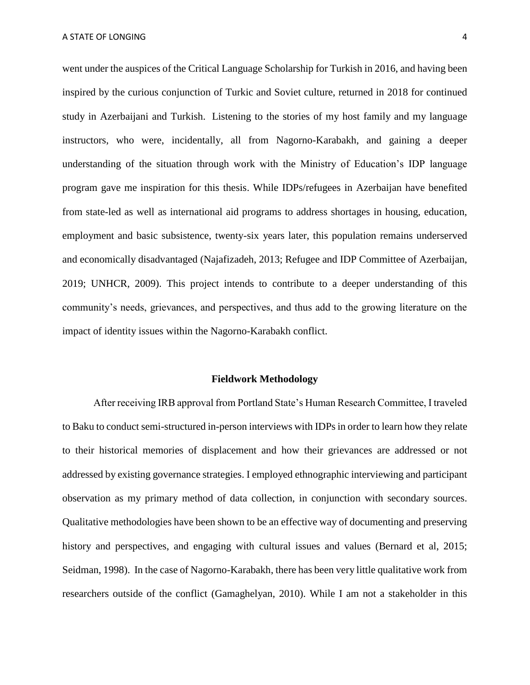went under the auspices of the Critical Language Scholarship for Turkish in 2016, and having been inspired by the curious conjunction of Turkic and Soviet culture, returned in 2018 for continued study in Azerbaijani and Turkish. Listening to the stories of my host family and my language instructors, who were, incidentally, all from Nagorno-Karabakh, and gaining a deeper understanding of the situation through work with the Ministry of Education's IDP language program gave me inspiration for this thesis. While IDPs/refugees in Azerbaijan have benefited from state-led as well as international aid programs to address shortages in housing, education, employment and basic subsistence, twenty-six years later, this population remains underserved and economically disadvantaged (Najafizadeh, 2013; Refugee and IDP Committee of Azerbaijan, 2019; UNHCR, 2009). This project intends to contribute to a deeper understanding of this community's needs, grievances, and perspectives, and thus add to the growing literature on the impact of identity issues within the Nagorno-Karabakh conflict.

#### **Fieldwork Methodology**

After receiving IRB approval from Portland State's Human Research Committee, I traveled to Baku to conduct semi-structured in-person interviews with IDPs in order to learn how they relate to their historical memories of displacement and how their grievances are addressed or not addressed by existing governance strategies. I employed ethnographic interviewing and participant observation as my primary method of data collection, in conjunction with secondary sources. Qualitative methodologies have been shown to be an effective way of documenting and preserving history and perspectives, and engaging with cultural issues and values (Bernard et al, 2015; Seidman, 1998). In the case of Nagorno-Karabakh, there has been very little qualitative work from researchers outside of the conflict (Gamaghelyan, 2010). While I am not a stakeholder in this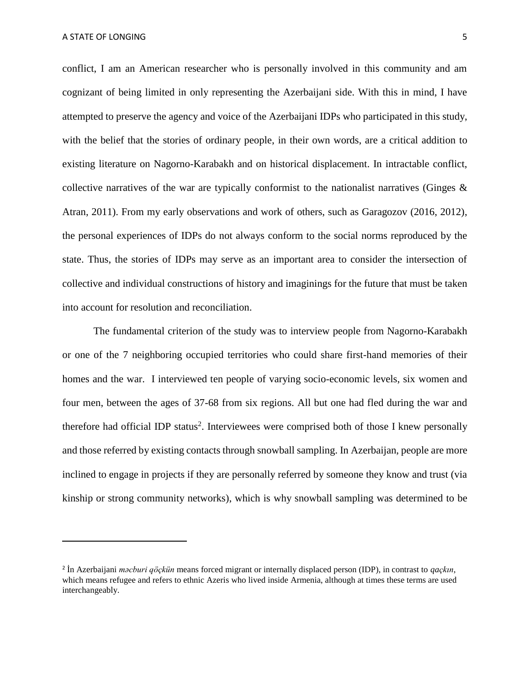$\overline{a}$ 

conflict, I am an American researcher who is personally involved in this community and am cognizant of being limited in only representing the Azerbaijani side. With this in mind, I have attempted to preserve the agency and voice of the Azerbaijani IDPs who participated in this study, with the belief that the stories of ordinary people, in their own words, are a critical addition to existing literature on Nagorno-Karabakh and on historical displacement. In intractable conflict, collective narratives of the war are typically conformist to the nationalist narratives (Ginges & Atran, 2011). From my early observations and work of others, such as Garagozov (2016, 2012), the personal experiences of IDPs do not always conform to the social norms reproduced by the state. Thus, the stories of IDPs may serve as an important area to consider the intersection of collective and individual constructions of history and imaginings for the future that must be taken into account for resolution and reconciliation.

The fundamental criterion of the study was to interview people from Nagorno-Karabakh or one of the 7 neighboring occupied territories who could share first-hand memories of their homes and the war. I interviewed ten people of varying socio-economic levels, six women and four men, between the ages of 37-68 from six regions. All but one had fled during the war and therefore had official IDP status<sup>2</sup>. Interviewees were comprised both of those I knew personally and those referred by existing contacts through snowball sampling. In Azerbaijan, people are more inclined to engage in projects if they are personally referred by someone they know and trust (via kinship or strong community networks), which is why snowball sampling was determined to be

<sup>2</sup> İn Azerbaijani *məcburi qöçkün* means forced migrant or internally displaced person (IDP), in contrast to *qaçkın*, which means refugee and refers to ethnic Azeris who lived inside Armenia, although at times these terms are used interchangeably.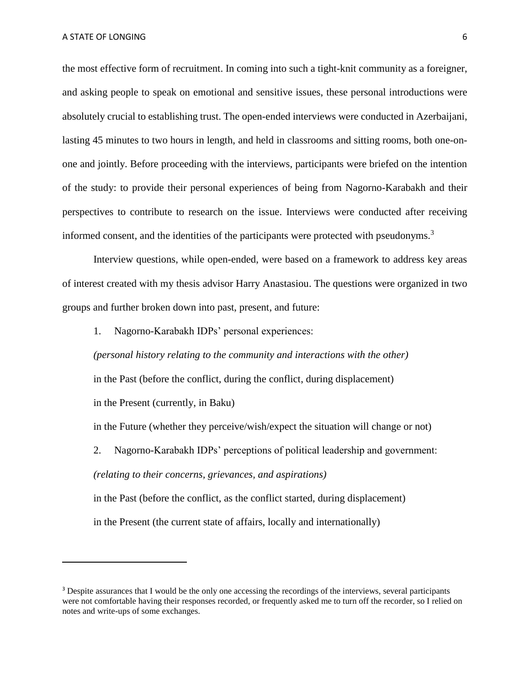the most effective form of recruitment. In coming into such a tight-knit community as a foreigner, and asking people to speak on emotional and sensitive issues, these personal introductions were absolutely crucial to establishing trust. The open-ended interviews were conducted in Azerbaijani, lasting 45 minutes to two hours in length, and held in classrooms and sitting rooms, both one-onone and jointly. Before proceeding with the interviews, participants were briefed on the intention of the study: to provide their personal experiences of being from Nagorno-Karabakh and their perspectives to contribute to research on the issue. Interviews were conducted after receiving informed consent, and the identities of the participants were protected with pseudonyms.<sup>3</sup>

Interview questions, while open-ended, were based on a framework to address key areas of interest created with my thesis advisor Harry Anastasiou. The questions were organized in two groups and further broken down into past, present, and future:

1. Nagorno-Karabakh IDPs' personal experiences:

*(personal history relating to the community and interactions with the other)* 

in the Past (before the conflict, during the conflict, during displacement)

in the Present (currently, in Baku)

 $\overline{a}$ 

in the Future (whether they perceive/wish/expect the situation will change or not)

2. Nagorno-Karabakh IDPs' perceptions of political leadership and government: *(relating to their concerns, grievances, and aspirations)*

in the Past (before the conflict, as the conflict started, during displacement) in the Present (the current state of affairs, locally and internationally)

<sup>&</sup>lt;sup>3</sup> Despite assurances that I would be the only one accessing the recordings of the interviews, several participants were not comfortable having their responses recorded, or frequently asked me to turn off the recorder, so I relied on notes and write-ups of some exchanges.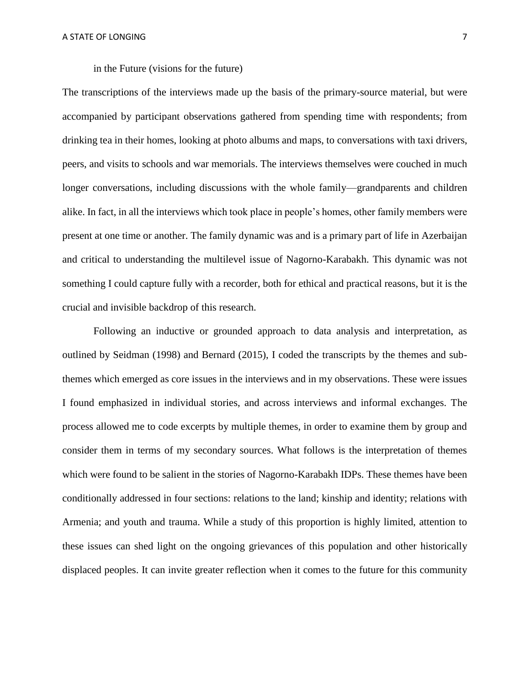in the Future (visions for the future)

The transcriptions of the interviews made up the basis of the primary-source material, but were accompanied by participant observations gathered from spending time with respondents; from drinking tea in their homes, looking at photo albums and maps, to conversations with taxi drivers, peers, and visits to schools and war memorials. The interviews themselves were couched in much longer conversations, including discussions with the whole family—grandparents and children alike. In fact, in all the interviews which took place in people's homes, other family members were present at one time or another. The family dynamic was and is a primary part of life in Azerbaijan and critical to understanding the multilevel issue of Nagorno-Karabakh. This dynamic was not something I could capture fully with a recorder, both for ethical and practical reasons, but it is the crucial and invisible backdrop of this research.

Following an inductive or grounded approach to data analysis and interpretation, as outlined by Seidman (1998) and Bernard (2015), I coded the transcripts by the themes and subthemes which emerged as core issues in the interviews and in my observations. These were issues I found emphasized in individual stories, and across interviews and informal exchanges. The process allowed me to code excerpts by multiple themes, in order to examine them by group and consider them in terms of my secondary sources. What follows is the interpretation of themes which were found to be salient in the stories of Nagorno-Karabakh IDPs. These themes have been conditionally addressed in four sections: relations to the land; kinship and identity; relations with Armenia; and youth and trauma. While a study of this proportion is highly limited, attention to these issues can shed light on the ongoing grievances of this population and other historically displaced peoples. It can invite greater reflection when it comes to the future for this community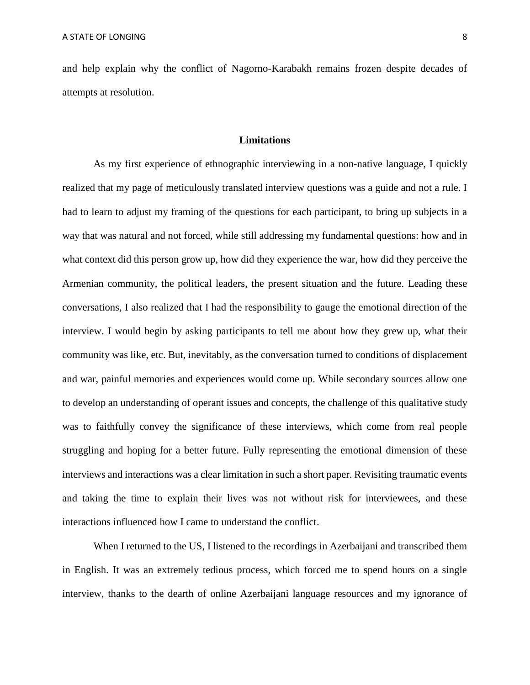and help explain why the conflict of Nagorno-Karabakh remains frozen despite decades of attempts at resolution.

#### **Limitations**

As my first experience of ethnographic interviewing in a non-native language, I quickly realized that my page of meticulously translated interview questions was a guide and not a rule. I had to learn to adjust my framing of the questions for each participant, to bring up subjects in a way that was natural and not forced, while still addressing my fundamental questions: how and in what context did this person grow up, how did they experience the war, how did they perceive the Armenian community, the political leaders, the present situation and the future. Leading these conversations, I also realized that I had the responsibility to gauge the emotional direction of the interview. I would begin by asking participants to tell me about how they grew up, what their community was like, etc. But, inevitably, as the conversation turned to conditions of displacement and war, painful memories and experiences would come up. While secondary sources allow one to develop an understanding of operant issues and concepts, the challenge of this qualitative study was to faithfully convey the significance of these interviews, which come from real people struggling and hoping for a better future. Fully representing the emotional dimension of these interviews and interactions was a clear limitation in such a short paper. Revisiting traumatic events and taking the time to explain their lives was not without risk for interviewees, and these interactions influenced how I came to understand the conflict.

When I returned to the US, I listened to the recordings in Azerbaijani and transcribed them in English. It was an extremely tedious process, which forced me to spend hours on a single interview, thanks to the dearth of online Azerbaijani language resources and my ignorance of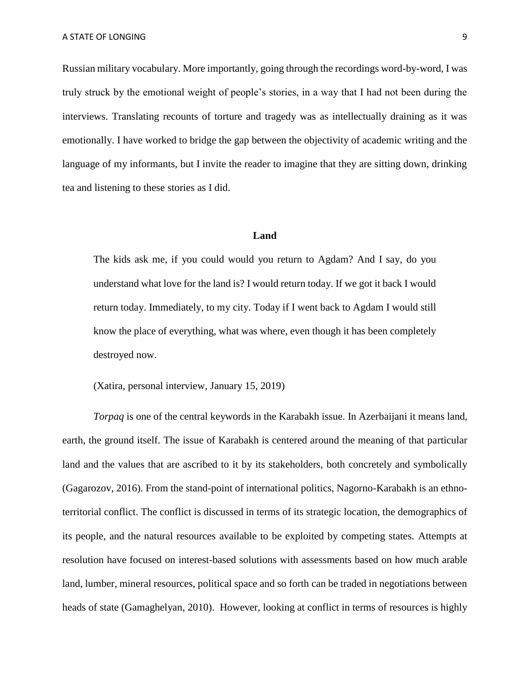Russian military vocabulary. More importantly, going through the recordings word-by-word, I was truly struck by the emotional weight of people's stories, in a way that I had not been during the interviews. Translating recounts of torture and tragedy was as intellectually draining as it was emotionally. I have worked to bridge the gap between the objectivity of academic writing and the language of my informants, but I invite the reader to imagine that they are sitting down, drinking tea and listening to these stories as I did.

#### **Land**

The kids ask me, if you could would you return to Agdam? And I say, do you understand what love for the land is? I would return today. If we got it back I would return today. Immediately, to my city. Today if I went back to Agdam I would still know the place of everything, what was where, even though it has been completely destroyed now.

(Xatira, personal interview, January 15, 2019)

*Torpaq* is one of the central keywords in the Karabakh issue. In Azerbaijani it means land, earth, the ground itself. The issue of Karabakh is centered around the meaning of that particular land and the values that are ascribed to it by its stakeholders, both concretely and symbolically (Gagarozov, 2016). From the stand-point of international politics, Nagorno-Karabakh is an ethnoterritorial conflict. The conflict is discussed in terms of its strategic location, the demographics of its people, and the natural resources available to be exploited by competing states. Attempts at resolution have focused on interest-based solutions with assessments based on how much arable land, lumber, mineral resources, political space and so forth can be traded in negotiations between heads of state (Gamaghelyan, 2010). However, looking at conflict in terms of resources is highly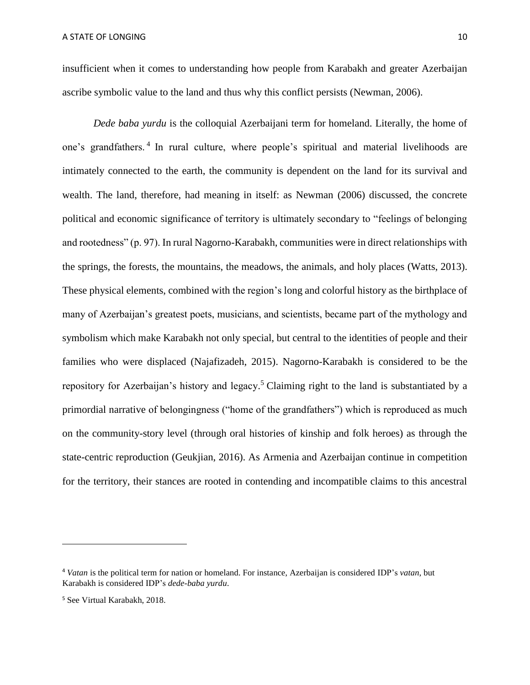insufficient when it comes to understanding how people from Karabakh and greater Azerbaijan ascribe symbolic value to the land and thus why this conflict persists (Newman, 2006).

*Dede baba yurdu* is the colloquial Azerbaijani term for homeland. Literally, the home of one's grandfathers.<sup>4</sup> In rural culture, where people's spiritual and material livelihoods are intimately connected to the earth, the community is dependent on the land for its survival and wealth. The land, therefore, had meaning in itself: as Newman (2006) discussed, the concrete political and economic significance of territory is ultimately secondary to "feelings of belonging and rootedness" (p. 97). In rural Nagorno-Karabakh, communities were in direct relationships with the springs, the forests, the mountains, the meadows, the animals, and holy places (Watts, 2013). These physical elements, combined with the region's long and colorful history as the birthplace of many of Azerbaijan's greatest poets, musicians, and scientists, became part of the mythology and symbolism which make Karabakh not only special, but central to the identities of people and their families who were displaced (Najafizadeh, 2015). Nagorno-Karabakh is considered to be the repository for Azerbaijan's history and legacy.<sup>5</sup> Claiming right to the land is substantiated by a primordial narrative of belongingness ("home of the grandfathers") which is reproduced as much on the community-story level (through oral histories of kinship and folk heroes) as through the state-centric reproduction (Geukjian, 2016). As Armenia and Azerbaijan continue in competition for the territory, their stances are rooted in contending and incompatible claims to this ancestral

 $\overline{\phantom{a}}$ 

<sup>4</sup> *Vatan* is the political term for nation or homeland. For instance, Azerbaijan is considered IDP's *vatan*, but Karabakh is considered IDP's *dede-baba yurdu*.

<sup>5</sup> See Virtual Karabakh, 2018.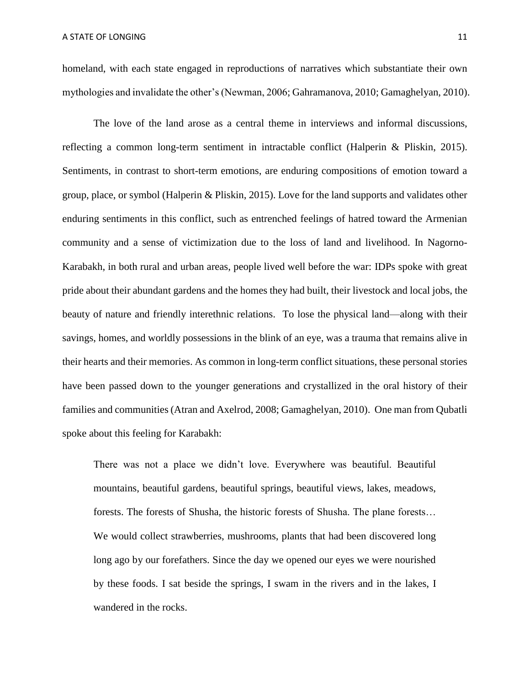homeland, with each state engaged in reproductions of narratives which substantiate their own mythologies and invalidate the other's (Newman, 2006; Gahramanova, 2010; Gamaghelyan, 2010).

The love of the land arose as a central theme in interviews and informal discussions, reflecting a common long-term sentiment in intractable conflict (Halperin & Pliskin, 2015). Sentiments, in contrast to short-term emotions, are enduring compositions of emotion toward a group, place, or symbol (Halperin & Pliskin, 2015). Love for the land supports and validates other enduring sentiments in this conflict, such as entrenched feelings of hatred toward the Armenian community and a sense of victimization due to the loss of land and livelihood. In Nagorno-Karabakh, in both rural and urban areas, people lived well before the war: IDPs spoke with great pride about their abundant gardens and the homes they had built, their livestock and local jobs, the beauty of nature and friendly interethnic relations. To lose the physical land—along with their savings, homes, and worldly possessions in the blink of an eye, was a trauma that remains alive in their hearts and their memories. As common in long-term conflict situations, these personal stories have been passed down to the younger generations and crystallized in the oral history of their families and communities (Atran and Axelrod, 2008; Gamaghelyan, 2010). One man from Qubatli spoke about this feeling for Karabakh:

There was not a place we didn't love. Everywhere was beautiful. Beautiful mountains, beautiful gardens, beautiful springs, beautiful views, lakes, meadows, forests. The forests of Shusha, the historic forests of Shusha. The plane forests… We would collect strawberries, mushrooms, plants that had been discovered long long ago by our forefathers. Since the day we opened our eyes we were nourished by these foods. I sat beside the springs, I swam in the rivers and in the lakes, I wandered in the rocks.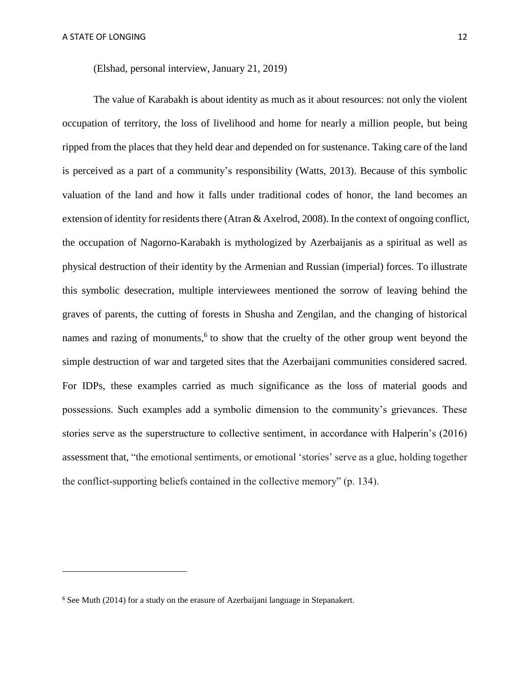$\overline{\phantom{a}}$ 

(Elshad, personal interview, January 21, 2019)

The value of Karabakh is about identity as much as it about resources: not only the violent occupation of territory, the loss of livelihood and home for nearly a million people, but being ripped from the places that they held dear and depended on for sustenance. Taking care of the land is perceived as a part of a community's responsibility (Watts, 2013). Because of this symbolic valuation of the land and how it falls under traditional codes of honor, the land becomes an extension of identity for residents there (Atran & Axelrod, 2008). In the context of ongoing conflict, the occupation of Nagorno-Karabakh is mythologized by Azerbaijanis as a spiritual as well as physical destruction of their identity by the Armenian and Russian (imperial) forces. To illustrate this symbolic desecration, multiple interviewees mentioned the sorrow of leaving behind the graves of parents, the cutting of forests in Shusha and Zengilan, and the changing of historical names and razing of monuments,  $6$  to show that the cruelty of the other group went beyond the simple destruction of war and targeted sites that the Azerbaijani communities considered sacred. For IDPs, these examples carried as much significance as the loss of material goods and possessions. Such examples add a symbolic dimension to the community's grievances. These stories serve as the superstructure to collective sentiment, in accordance with Halperin's (2016) assessment that, "the emotional sentiments, or emotional 'stories' serve as a glue, holding together the conflict-supporting beliefs contained in the collective memory" (p. 134).

<sup>6</sup> See Muth (2014) for a study on the erasure of Azerbaijani language in Stepanakert.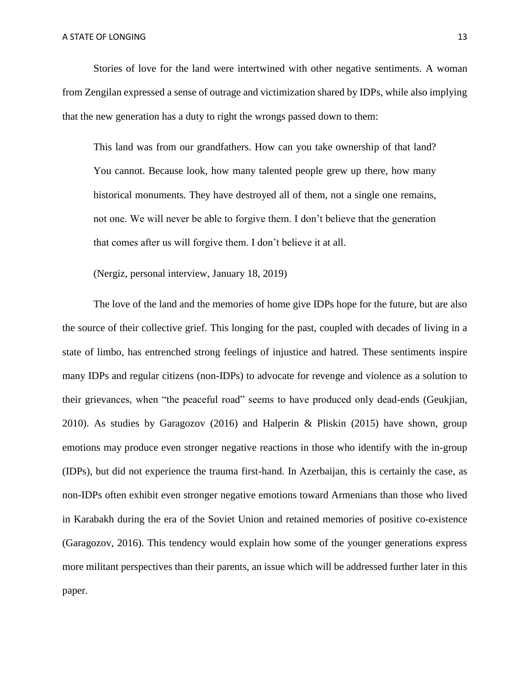Stories of love for the land were intertwined with other negative sentiments. A woman from Zengilan expressed a sense of outrage and victimization shared by IDPs, while also implying that the new generation has a duty to right the wrongs passed down to them:

This land was from our grandfathers. How can you take ownership of that land? You cannot. Because look, how many talented people grew up there, how many historical monuments. They have destroyed all of them, not a single one remains, not one. We will never be able to forgive them. I don't believe that the generation that comes after us will forgive them. I don't believe it at all.

(Nergiz, personal interview, January 18, 2019)

The love of the land and the memories of home give IDPs hope for the future, but are also the source of their collective grief. This longing for the past, coupled with decades of living in a state of limbo, has entrenched strong feelings of injustice and hatred. These sentiments inspire many IDPs and regular citizens (non-IDPs) to advocate for revenge and violence as a solution to their grievances, when "the peaceful road" seems to have produced only dead-ends (Geukjian, 2010). As studies by Garagozov (2016) and Halperin & Pliskin (2015) have shown, group emotions may produce even stronger negative reactions in those who identify with the in-group (IDPs), but did not experience the trauma first-hand. In Azerbaijan, this is certainly the case, as non-IDPs often exhibit even stronger negative emotions toward Armenians than those who lived in Karabakh during the era of the Soviet Union and retained memories of positive co-existence (Garagozov, 2016). This tendency would explain how some of the younger generations express more militant perspectives than their parents, an issue which will be addressed further later in this paper.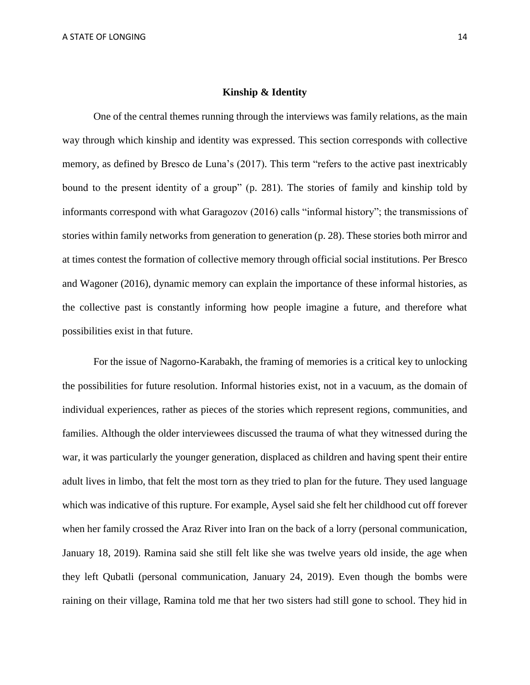#### **Kinship & Identity**

One of the central themes running through the interviews was family relations, as the main way through which kinship and identity was expressed. This section corresponds with collective memory, as defined by Bresco de Luna's (2017). This term "refers to the active past inextricably bound to the present identity of a group" (p. 281). The stories of family and kinship told by informants correspond with what Garagozov (2016) calls "informal history"; the transmissions of stories within family networks from generation to generation (p. 28). These stories both mirror and at times contest the formation of collective memory through official social institutions. Per Bresco and Wagoner (2016), dynamic memory can explain the importance of these informal histories, as the collective past is constantly informing how people imagine a future, and therefore what possibilities exist in that future.

For the issue of Nagorno-Karabakh, the framing of memories is a critical key to unlocking the possibilities for future resolution. Informal histories exist, not in a vacuum, as the domain of individual experiences, rather as pieces of the stories which represent regions, communities, and families. Although the older interviewees discussed the trauma of what they witnessed during the war, it was particularly the younger generation, displaced as children and having spent their entire adult lives in limbo, that felt the most torn as they tried to plan for the future. They used language which was indicative of this rupture. For example, Aysel said she felt her childhood cut off forever when her family crossed the Araz River into Iran on the back of a lorry (personal communication, January 18, 2019). Ramina said she still felt like she was twelve years old inside, the age when they left Qubatli (personal communication, January 24, 2019). Even though the bombs were raining on their village, Ramina told me that her two sisters had still gone to school. They hid in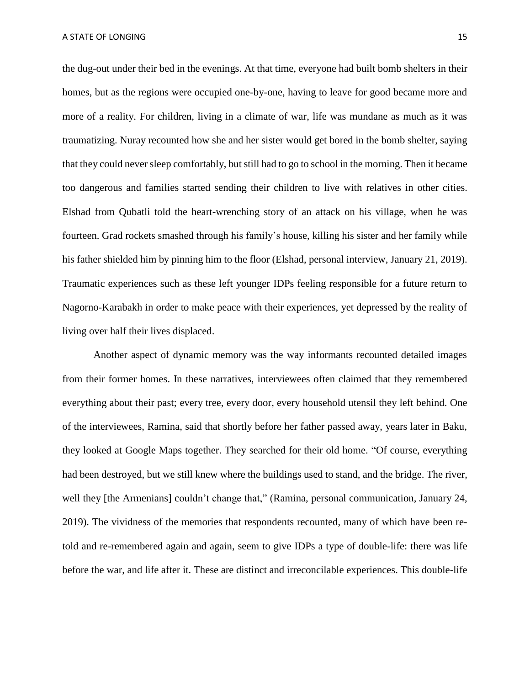the dug-out under their bed in the evenings. At that time, everyone had built bomb shelters in their homes, but as the regions were occupied one-by-one, having to leave for good became more and more of a reality. For children, living in a climate of war, life was mundane as much as it was traumatizing. Nuray recounted how she and her sister would get bored in the bomb shelter, saying that they could never sleep comfortably, butstill had to go to school in the morning. Then it became too dangerous and families started sending their children to live with relatives in other cities. Elshad from Qubatli told the heart-wrenching story of an attack on his village, when he was fourteen. Grad rockets smashed through his family's house, killing his sister and her family while his father shielded him by pinning him to the floor (Elshad, personal interview, January 21, 2019). Traumatic experiences such as these left younger IDPs feeling responsible for a future return to Nagorno-Karabakh in order to make peace with their experiences, yet depressed by the reality of living over half their lives displaced.

Another aspect of dynamic memory was the way informants recounted detailed images from their former homes. In these narratives, interviewees often claimed that they remembered everything about their past; every tree, every door, every household utensil they left behind. One of the interviewees, Ramina, said that shortly before her father passed away, years later in Baku, they looked at Google Maps together. They searched for their old home. "Of course, everything had been destroyed, but we still knew where the buildings used to stand, and the bridge. The river, well they [the Armenians] couldn't change that," (Ramina, personal communication, January 24, 2019). The vividness of the memories that respondents recounted, many of which have been retold and re-remembered again and again, seem to give IDPs a type of double-life: there was life before the war, and life after it. These are distinct and irreconcilable experiences. This double-life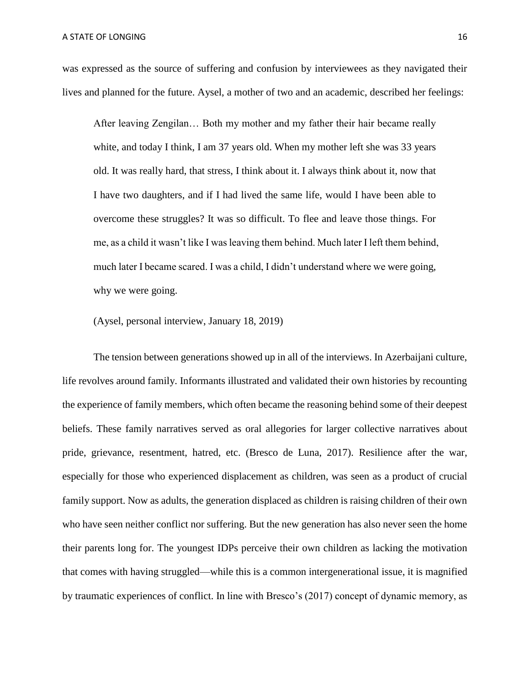was expressed as the source of suffering and confusion by interviewees as they navigated their lives and planned for the future. Aysel, a mother of two and an academic, described her feelings:

After leaving Zengilan… Both my mother and my father their hair became really white, and today I think, I am 37 years old. When my mother left she was 33 years old. It was really hard, that stress, I think about it. I always think about it, now that I have two daughters, and if I had lived the same life, would I have been able to overcome these struggles? It was so difficult. To flee and leave those things. For me, as a child it wasn't like I was leaving them behind. Much later I left them behind, much later I became scared. I was a child, I didn't understand where we were going, why we were going.

(Aysel, personal interview, January 18, 2019)

The tension between generations showed up in all of the interviews. In Azerbaijani culture, life revolves around family. Informants illustrated and validated their own histories by recounting the experience of family members, which often became the reasoning behind some of their deepest beliefs. These family narratives served as oral allegories for larger collective narratives about pride, grievance, resentment, hatred, etc. (Bresco de Luna, 2017). Resilience after the war, especially for those who experienced displacement as children, was seen as a product of crucial family support. Now as adults, the generation displaced as children is raising children of their own who have seen neither conflict nor suffering. But the new generation has also never seen the home their parents long for. The youngest IDPs perceive their own children as lacking the motivation that comes with having struggled—while this is a common intergenerational issue, it is magnified by traumatic experiences of conflict. In line with Bresco's (2017) concept of dynamic memory, as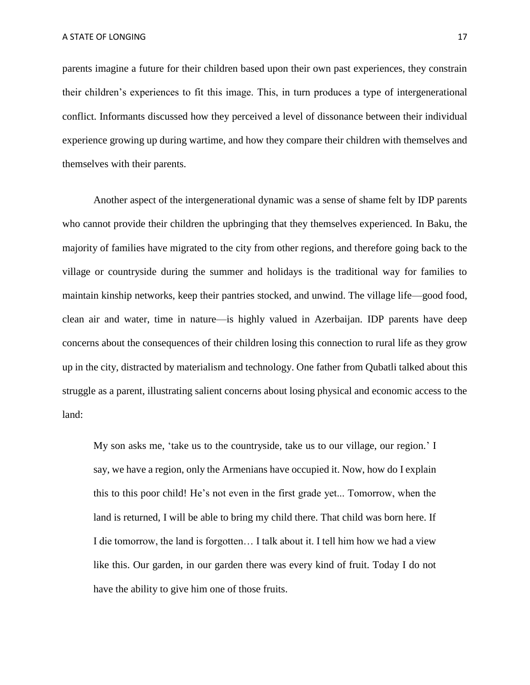parents imagine a future for their children based upon their own past experiences, they constrain their children's experiences to fit this image. This, in turn produces a type of intergenerational conflict. Informants discussed how they perceived a level of dissonance between their individual experience growing up during wartime, and how they compare their children with themselves and themselves with their parents.

Another aspect of the intergenerational dynamic was a sense of shame felt by IDP parents who cannot provide their children the upbringing that they themselves experienced. In Baku, the majority of families have migrated to the city from other regions, and therefore going back to the village or countryside during the summer and holidays is the traditional way for families to maintain kinship networks, keep their pantries stocked, and unwind. The village life—good food, clean air and water, time in nature—is highly valued in Azerbaijan. IDP parents have deep concerns about the consequences of their children losing this connection to rural life as they grow up in the city, distracted by materialism and technology. One father from Qubatli talked about this struggle as a parent, illustrating salient concerns about losing physical and economic access to the land:

My son asks me, 'take us to the countryside, take us to our village, our region.' I say, we have a region, only the Armenians have occupied it. Now, how do I explain this to this poor child! He's not even in the first grade yet... Tomorrow, when the land is returned, I will be able to bring my child there. That child was born here. If I die tomorrow, the land is forgotten… I talk about it. I tell him how we had a view like this. Our garden, in our garden there was every kind of fruit. Today I do not have the ability to give him one of those fruits.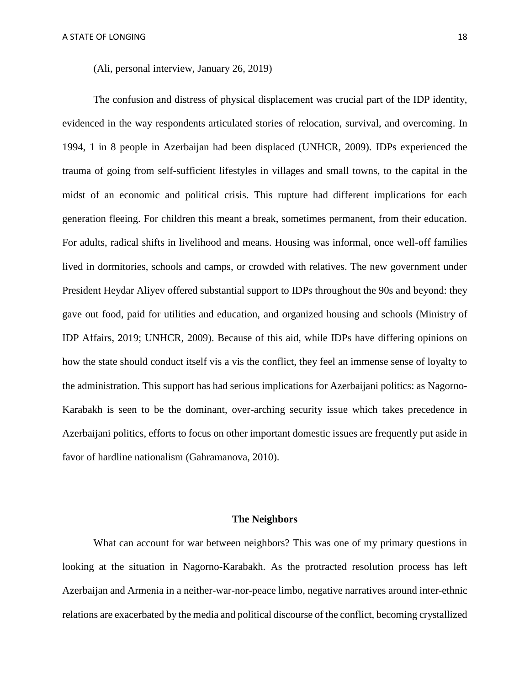(Ali, personal interview, January 26, 2019)

The confusion and distress of physical displacement was crucial part of the IDP identity, evidenced in the way respondents articulated stories of relocation, survival, and overcoming. In 1994, 1 in 8 people in Azerbaijan had been displaced (UNHCR, 2009). IDPs experienced the trauma of going from self-sufficient lifestyles in villages and small towns, to the capital in the midst of an economic and political crisis. This rupture had different implications for each generation fleeing. For children this meant a break, sometimes permanent, from their education. For adults, radical shifts in livelihood and means. Housing was informal, once well-off families lived in dormitories, schools and camps, or crowded with relatives. The new government under President Heydar Aliyev offered substantial support to IDPs throughout the 90s and beyond: they gave out food, paid for utilities and education, and organized housing and schools (Ministry of IDP Affairs, 2019; UNHCR, 2009). Because of this aid, while IDPs have differing opinions on how the state should conduct itself vis a vis the conflict, they feel an immense sense of loyalty to the administration. This support has had serious implications for Azerbaijani politics: as Nagorno-Karabakh is seen to be the dominant, over-arching security issue which takes precedence in Azerbaijani politics, efforts to focus on other important domestic issues are frequently put aside in favor of hardline nationalism (Gahramanova, 2010).

## **The Neighbors**

What can account for war between neighbors? This was one of my primary questions in looking at the situation in Nagorno-Karabakh. As the protracted resolution process has left Azerbaijan and Armenia in a neither-war-nor-peace limbo, negative narratives around inter-ethnic relations are exacerbated by the media and political discourse of the conflict, becoming crystallized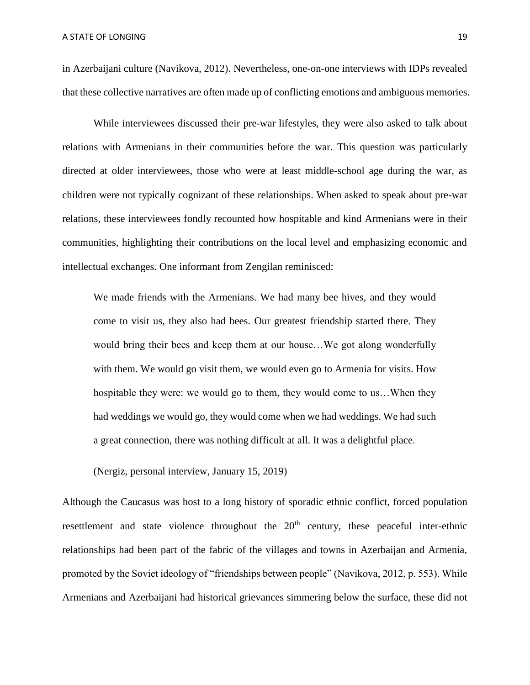in Azerbaijani culture (Navikova, 2012). Nevertheless, one-on-one interviews with IDPs revealed that these collective narratives are often made up of conflicting emotions and ambiguous memories.

While interviewees discussed their pre-war lifestyles, they were also asked to talk about relations with Armenians in their communities before the war. This question was particularly directed at older interviewees, those who were at least middle-school age during the war, as children were not typically cognizant of these relationships. When asked to speak about pre-war relations, these interviewees fondly recounted how hospitable and kind Armenians were in their communities, highlighting their contributions on the local level and emphasizing economic and intellectual exchanges. One informant from Zengilan reminisced:

We made friends with the Armenians. We had many bee hives, and they would come to visit us, they also had bees. Our greatest friendship started there. They would bring their bees and keep them at our house…We got along wonderfully with them. We would go visit them, we would even go to Armenia for visits. How hospitable they were: we would go to them, they would come to us…When they had weddings we would go, they would come when we had weddings. We had such a great connection, there was nothing difficult at all. It was a delightful place.

(Nergiz, personal interview, January 15, 2019)

Although the Caucasus was host to a long history of sporadic ethnic conflict, forced population resettlement and state violence throughout the  $20<sup>th</sup>$  century, these peaceful inter-ethnic relationships had been part of the fabric of the villages and towns in Azerbaijan and Armenia, promoted by the Soviet ideology of "friendships between people" (Navikova, 2012, p. 553). While Armenians and Azerbaijani had historical grievances simmering below the surface, these did not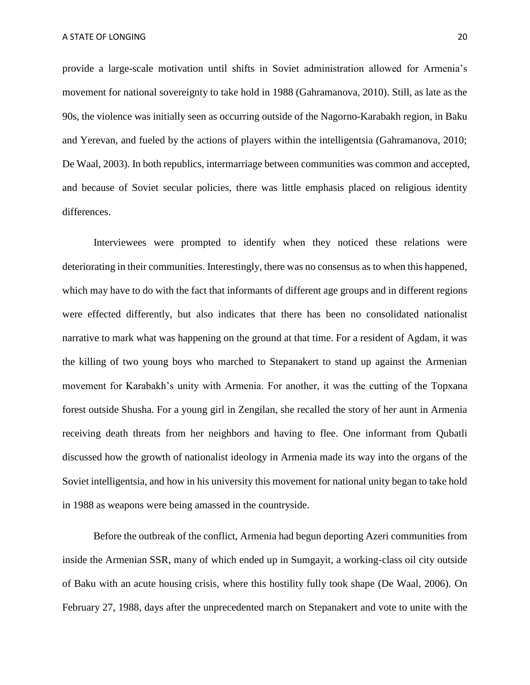provide a large-scale motivation until shifts in Soviet administration allowed for Armenia's movement for national sovereignty to take hold in 1988 (Gahramanova, 2010). Still, as late as the 90s, the violence was initially seen as occurring outside of the Nagorno-Karabakh region, in Baku and Yerevan, and fueled by the actions of players within the intelligentsia (Gahramanova, 2010; De Waal, 2003). In both republics, intermarriage between communities was common and accepted, and because of Soviet secular policies, there was little emphasis placed on religious identity differences.

Interviewees were prompted to identify when they noticed these relations were deteriorating in their communities. Interestingly, there was no consensus as to when this happened, which may have to do with the fact that informants of different age groups and in different regions were effected differently, but also indicates that there has been no consolidated nationalist narrative to mark what was happening on the ground at that time. For a resident of Agdam, it was the killing of two young boys who marched to Stepanakert to stand up against the Armenian movement for Karabakh's unity with Armenia. For another, it was the cutting of the Topxana forest outside Shusha. For a young girl in Zengilan, she recalled the story of her aunt in Armenia receiving death threats from her neighbors and having to flee. One informant from Qubatli discussed how the growth of nationalist ideology in Armenia made its way into the organs of the Soviet intelligentsia, and how in his university this movement for national unity began to take hold in 1988 as weapons were being amassed in the countryside.

Before the outbreak of the conflict, Armenia had begun deporting Azeri communities from inside the Armenian SSR, many of which ended up in Sumgayit, a working-class oil city outside of Baku with an acute housing crisis, where this hostility fully took shape (De Waal, 2006). On February 27, 1988, days after the unprecedented march on Stepanakert and vote to unite with the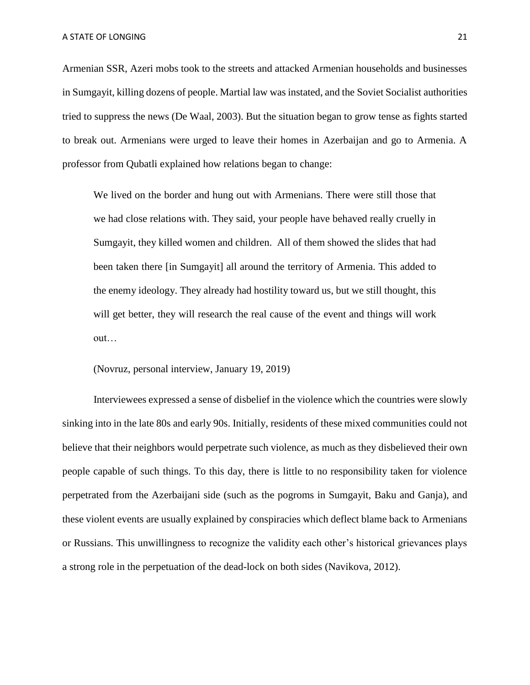Armenian SSR, Azeri mobs took to the streets and attacked Armenian households and businesses in Sumgayit, killing dozens of people. Martial law was instated, and the Soviet Socialist authorities tried to suppress the news (De Waal, 2003). But the situation began to grow tense as fights started to break out. Armenians were urged to leave their homes in Azerbaijan and go to Armenia. A professor from Qubatli explained how relations began to change:

We lived on the border and hung out with Armenians. There were still those that we had close relations with. They said, your people have behaved really cruelly in Sumgayit, they killed women and children. All of them showed the slides that had been taken there [in Sumgayit] all around the territory of Armenia. This added to the enemy ideology. They already had hostility toward us, but we still thought, this will get better, they will research the real cause of the event and things will work out…

(Novruz, personal interview, January 19, 2019)

Interviewees expressed a sense of disbelief in the violence which the countries were slowly sinking into in the late 80s and early 90s. Initially, residents of these mixed communities could not believe that their neighbors would perpetrate such violence, as much as they disbelieved their own people capable of such things. To this day, there is little to no responsibility taken for violence perpetrated from the Azerbaijani side (such as the pogroms in Sumgayit, Baku and Ganja), and these violent events are usually explained by conspiracies which deflect blame back to Armenians or Russians. This unwillingness to recognize the validity each other's historical grievances plays a strong role in the perpetuation of the dead-lock on both sides (Navikova, 2012).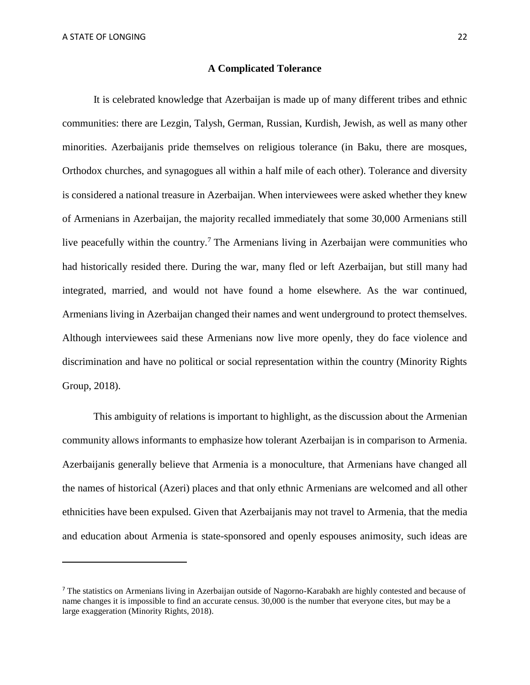$\overline{a}$ 

#### **A Complicated Tolerance**

It is celebrated knowledge that Azerbaijan is made up of many different tribes and ethnic communities: there are Lezgin, Talysh, German, Russian, Kurdish, Jewish, as well as many other minorities. Azerbaijanis pride themselves on religious tolerance (in Baku, there are mosques, Orthodox churches, and synagogues all within a half mile of each other). Tolerance and diversity is considered a national treasure in Azerbaijan. When interviewees were asked whether they knew of Armenians in Azerbaijan, the majority recalled immediately that some 30,000 Armenians still live peacefully within the country.<sup>7</sup> The Armenians living in Azerbaijan were communities who had historically resided there. During the war, many fled or left Azerbaijan, but still many had integrated, married, and would not have found a home elsewhere. As the war continued, Armenians living in Azerbaijan changed their names and went underground to protect themselves. Although interviewees said these Armenians now live more openly, they do face violence and discrimination and have no political or social representation within the country (Minority Rights Group, 2018).

This ambiguity of relations is important to highlight, as the discussion about the Armenian community allows informants to emphasize how tolerant Azerbaijan is in comparison to Armenia. Azerbaijanis generally believe that Armenia is a monoculture, that Armenians have changed all the names of historical (Azeri) places and that only ethnic Armenians are welcomed and all other ethnicities have been expulsed. Given that Azerbaijanis may not travel to Armenia, that the media and education about Armenia is state-sponsored and openly espouses animosity, such ideas are

<sup>7</sup> The statistics on Armenians living in Azerbaijan outside of Nagorno-Karabakh are highly contested and because of name changes it is impossible to find an accurate census. 30,000 is the number that everyone cites, but may be a large exaggeration (Minority Rights, 2018).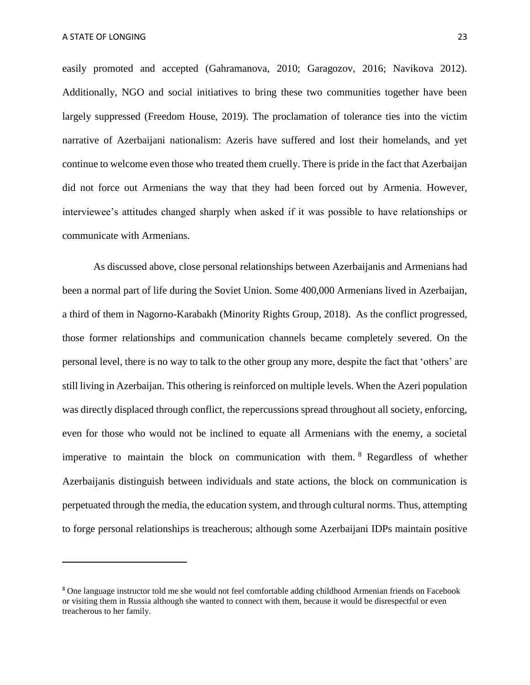$\overline{a}$ 

easily promoted and accepted (Gahramanova, 2010; Garagozov, 2016; Navikova 2012). Additionally, NGO and social initiatives to bring these two communities together have been largely suppressed (Freedom House, 2019). The proclamation of tolerance ties into the victim narrative of Azerbaijani nationalism: Azeris have suffered and lost their homelands, and yet continue to welcome even those who treated them cruelly. There is pride in the fact that Azerbaijan did not force out Armenians the way that they had been forced out by Armenia. However, interviewee's attitudes changed sharply when asked if it was possible to have relationships or communicate with Armenians.

As discussed above, close personal relationships between Azerbaijanis and Armenians had been a normal part of life during the Soviet Union. Some 400,000 Armenians lived in Azerbaijan, a third of them in Nagorno-Karabakh (Minority Rights Group, 2018). As the conflict progressed, those former relationships and communication channels became completely severed. On the personal level, there is no way to talk to the other group any more, despite the fact that 'others' are still living in Azerbaijan. This othering is reinforced on multiple levels. When the Azeri population was directly displaced through conflict, the repercussions spread throughout all society, enforcing, even for those who would not be inclined to equate all Armenians with the enemy, a societal imperative to maintain the block on communication with them. <sup>8</sup> Regardless of whether Azerbaijanis distinguish between individuals and state actions, the block on communication is perpetuated through the media, the education system, and through cultural norms. Thus, attempting to forge personal relationships is treacherous; although some Azerbaijani IDPs maintain positive

<sup>&</sup>lt;sup>8</sup> One language instructor told me she would not feel comfortable adding childhood Armenian friends on Facebook or visiting them in Russia although she wanted to connect with them, because it would be disrespectful or even treacherous to her family.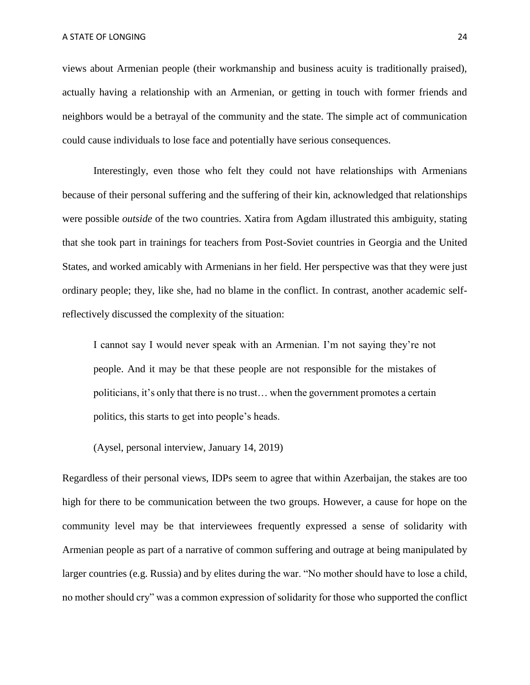A STATE OF LONGING 24

views about Armenian people (their workmanship and business acuity is traditionally praised), actually having a relationship with an Armenian, or getting in touch with former friends and neighbors would be a betrayal of the community and the state. The simple act of communication could cause individuals to lose face and potentially have serious consequences.

Interestingly, even those who felt they could not have relationships with Armenians because of their personal suffering and the suffering of their kin, acknowledged that relationships were possible *outside* of the two countries. Xatira from Agdam illustrated this ambiguity, stating that she took part in trainings for teachers from Post-Soviet countries in Georgia and the United States, and worked amicably with Armenians in her field. Her perspective was that they were just ordinary people; they, like she, had no blame in the conflict. In contrast, another academic selfreflectively discussed the complexity of the situation:

I cannot say I would never speak with an Armenian. I'm not saying they're not people. And it may be that these people are not responsible for the mistakes of politicians, it's only that there is no trust… when the government promotes a certain politics, this starts to get into people's heads.

(Aysel, personal interview, January 14, 2019)

Regardless of their personal views, IDPs seem to agree that within Azerbaijan, the stakes are too high for there to be communication between the two groups. However, a cause for hope on the community level may be that interviewees frequently expressed a sense of solidarity with Armenian people as part of a narrative of common suffering and outrage at being manipulated by larger countries (e.g. Russia) and by elites during the war. "No mother should have to lose a child, no mother should cry" was a common expression of solidarity for those who supported the conflict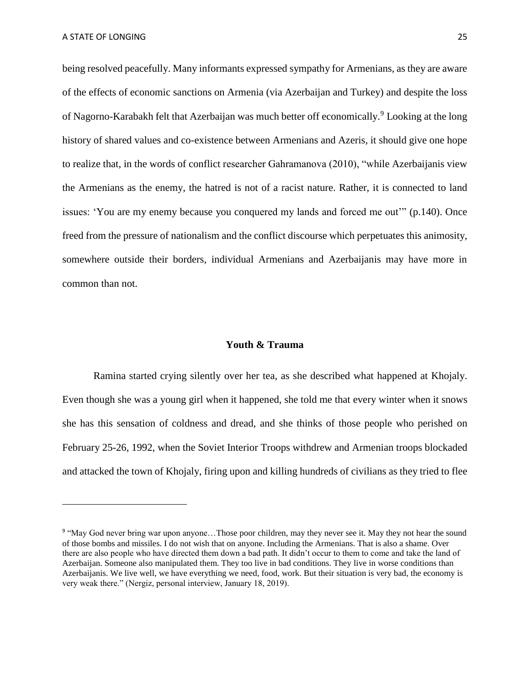$\overline{\phantom{a}}$ 

being resolved peacefully. Many informants expressed sympathy for Armenians, as they are aware of the effects of economic sanctions on Armenia (via Azerbaijan and Turkey) and despite the loss of Nagorno-Karabakh felt that Azerbaijan was much better off economically.<sup>9</sup> Looking at the long history of shared values and co-existence between Armenians and Azeris, it should give one hope to realize that, in the words of conflict researcher Gahramanova (2010), "while Azerbaijanis view the Armenians as the enemy, the hatred is not of a racist nature. Rather, it is connected to land issues: 'You are my enemy because you conquered my lands and forced me out'" (p.140). Once freed from the pressure of nationalism and the conflict discourse which perpetuates this animosity, somewhere outside their borders, individual Armenians and Azerbaijanis may have more in common than not.

# **Youth & Trauma**

Ramina started crying silently over her tea, as she described what happened at Khojaly. Even though she was a young girl when it happened, she told me that every winter when it snows she has this sensation of coldness and dread, and she thinks of those people who perished on February 25-26, 1992, when the Soviet Interior Troops withdrew and Armenian troops blockaded and attacked the town of Khojaly, firing upon and killing hundreds of civilians as they tried to flee

<sup>&</sup>lt;sup>9</sup> "May God never bring war upon anyone...Those poor children, may they never see it. May they not hear the sound of those bombs and missiles. I do not wish that on anyone. Including the Armenians. That is also a shame. Over there are also people who have directed them down a bad path. It didn't occur to them to come and take the land of Azerbaijan. Someone also manipulated them. They too live in bad conditions. They live in worse conditions than Azerbaijanis. We live well, we have everything we need, food, work. But their situation is very bad, the economy is very weak there." (Nergiz, personal interview, January 18, 2019).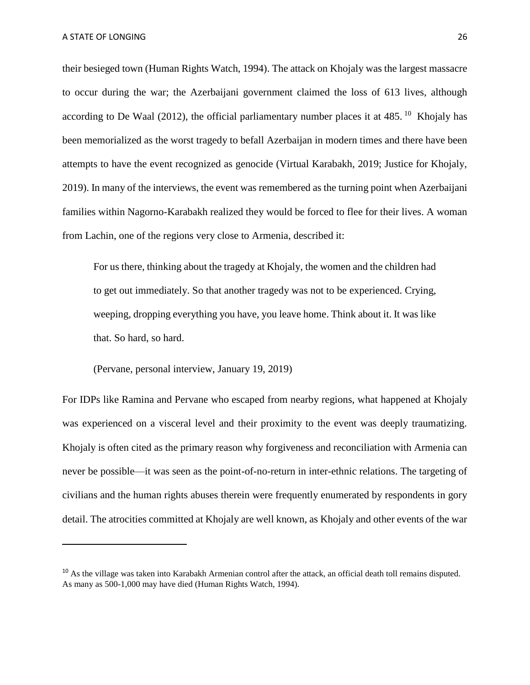$\overline{a}$ 

their besieged town (Human Rights Watch, 1994). The attack on Khojaly was the largest massacre to occur during the war; the Azerbaijani government claimed the loss of 613 lives, although according to De Waal (2012), the official parliamentary number places it at  $485$ . <sup>10</sup> Khojaly has been memorialized as the worst tragedy to befall Azerbaijan in modern times and there have been attempts to have the event recognized as genocide (Virtual Karabakh, 2019; Justice for Khojaly, 2019). In many of the interviews, the event was remembered as the turning point when Azerbaijani families within Nagorno-Karabakh realized they would be forced to flee for their lives. A woman from Lachin, one of the regions very close to Armenia, described it:

For us there, thinking about the tragedy at Khojaly, the women and the children had to get out immediately. So that another tragedy was not to be experienced. Crying, weeping, dropping everything you have, you leave home. Think about it. It was like that. So hard, so hard.

(Pervane, personal interview, January 19, 2019)

For IDPs like Ramina and Pervane who escaped from nearby regions, what happened at Khojaly was experienced on a visceral level and their proximity to the event was deeply traumatizing. Khojaly is often cited as the primary reason why forgiveness and reconciliation with Armenia can never be possible—it was seen as the point-of-no-return in inter-ethnic relations. The targeting of civilians and the human rights abuses therein were frequently enumerated by respondents in gory detail. The atrocities committed at Khojaly are well known, as Khojaly and other events of the war

<sup>&</sup>lt;sup>10</sup> As the village was taken into Karabakh Armenian control after the attack, an official death toll remains disputed. As many as 500-1,000 may have died (Human Rights Watch, 1994).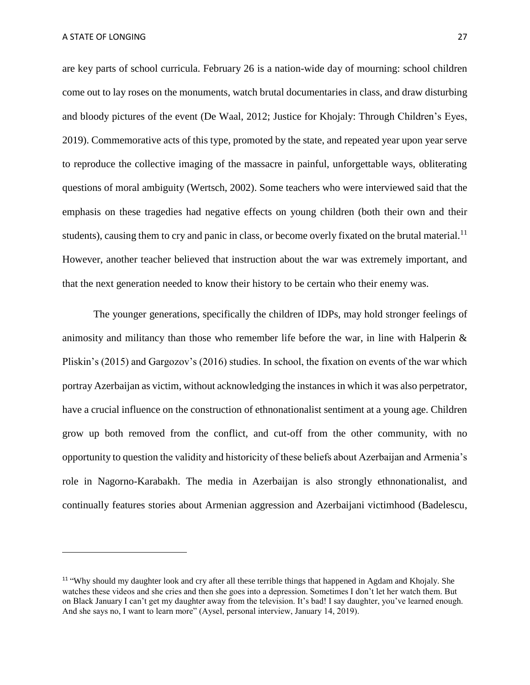$\overline{\phantom{a}}$ 

are key parts of school curricula. February 26 is a nation-wide day of mourning: school children come out to lay roses on the monuments, watch brutal documentaries in class, and draw disturbing and bloody pictures of the event (De Waal, 2012; Justice for Khojaly: Through Children's Eyes, 2019). Commemorative acts of this type, promoted by the state, and repeated year upon year serve to reproduce the collective imaging of the massacre in painful, unforgettable ways, obliterating questions of moral ambiguity (Wertsch, 2002). Some teachers who were interviewed said that the emphasis on these tragedies had negative effects on young children (both their own and their students), causing them to cry and panic in class, or become overly fixated on the brutal material.<sup>11</sup> However, another teacher believed that instruction about the war was extremely important, and that the next generation needed to know their history to be certain who their enemy was.

The younger generations, specifically the children of IDPs, may hold stronger feelings of animosity and militancy than those who remember life before the war, in line with Halperin  $\&$ Pliskin's (2015) and Gargozov's (2016) studies. In school, the fixation on events of the war which portray Azerbaijan as victim, without acknowledging the instances in which it was also perpetrator, have a crucial influence on the construction of ethnonationalist sentiment at a young age. Children grow up both removed from the conflict, and cut-off from the other community, with no opportunity to question the validity and historicity of these beliefs about Azerbaijan and Armenia's role in Nagorno-Karabakh. The media in Azerbaijan is also strongly ethnonationalist, and continually features stories about Armenian aggression and Azerbaijani victimhood (Badelescu,

<sup>&</sup>lt;sup>11</sup> "Why should my daughter look and cry after all these terrible things that happened in Agdam and Khojaly. She watches these videos and she cries and then she goes into a depression. Sometimes I don't let her watch them. But on Black January I can't get my daughter away from the television. It's bad! I say daughter, you've learned enough. And she says no, I want to learn more" (Aysel, personal interview, January 14, 2019).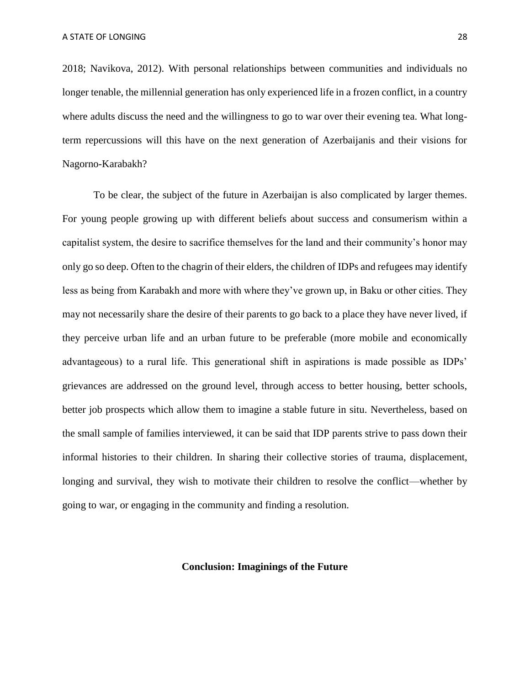2018; Navikova, 2012). With personal relationships between communities and individuals no longer tenable, the millennial generation has only experienced life in a frozen conflict, in a country where adults discuss the need and the willingness to go to war over their evening tea. What longterm repercussions will this have on the next generation of Azerbaijanis and their visions for Nagorno-Karabakh?

To be clear, the subject of the future in Azerbaijan is also complicated by larger themes. For young people growing up with different beliefs about success and consumerism within a capitalist system, the desire to sacrifice themselves for the land and their community's honor may only go so deep. Often to the chagrin of their elders, the children of IDPs and refugees may identify less as being from Karabakh and more with where they've grown up, in Baku or other cities. They may not necessarily share the desire of their parents to go back to a place they have never lived, if they perceive urban life and an urban future to be preferable (more mobile and economically advantageous) to a rural life. This generational shift in aspirations is made possible as IDPs' grievances are addressed on the ground level, through access to better housing, better schools, better job prospects which allow them to imagine a stable future in situ. Nevertheless, based on the small sample of families interviewed, it can be said that IDP parents strive to pass down their informal histories to their children. In sharing their collective stories of trauma, displacement, longing and survival, they wish to motivate their children to resolve the conflict—whether by going to war, or engaging in the community and finding a resolution.

# **Conclusion: Imaginings of the Future**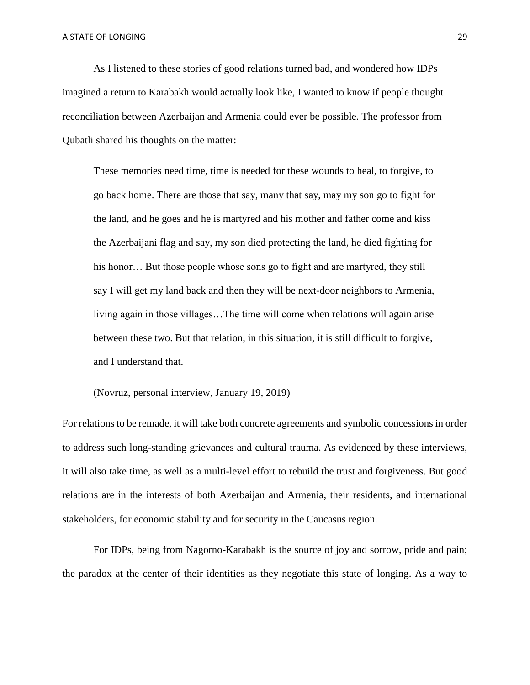As I listened to these stories of good relations turned bad, and wondered how IDPs imagined a return to Karabakh would actually look like, I wanted to know if people thought reconciliation between Azerbaijan and Armenia could ever be possible. The professor from Qubatli shared his thoughts on the matter:

These memories need time, time is needed for these wounds to heal, to forgive, to go back home. There are those that say, many that say, may my son go to fight for the land, and he goes and he is martyred and his mother and father come and kiss the Azerbaijani flag and say, my son died protecting the land, he died fighting for his honor… But those people whose sons go to fight and are martyred, they still say I will get my land back and then they will be next-door neighbors to Armenia, living again in those villages…The time will come when relations will again arise between these two. But that relation, in this situation, it is still difficult to forgive, and I understand that.

(Novruz, personal interview, January 19, 2019)

For relations to be remade, it will take both concrete agreements and symbolic concessions in order to address such long-standing grievances and cultural trauma. As evidenced by these interviews, it will also take time, as well as a multi-level effort to rebuild the trust and forgiveness. But good relations are in the interests of both Azerbaijan and Armenia, their residents, and international stakeholders, for economic stability and for security in the Caucasus region.

For IDPs, being from Nagorno-Karabakh is the source of joy and sorrow, pride and pain; the paradox at the center of their identities as they negotiate this state of longing. As a way to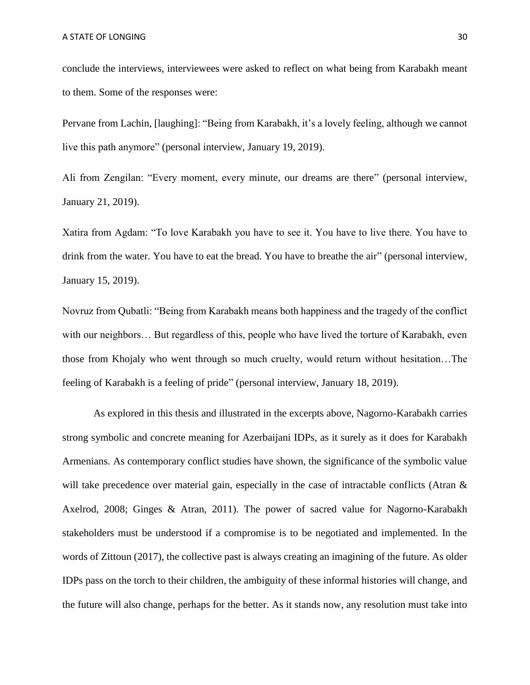conclude the interviews, interviewees were asked to reflect on what being from Karabakh meant to them. Some of the responses were:

Pervane from Lachin, [laughing]: "Being from Karabakh, it's a lovely feeling, although we cannot live this path anymore" (personal interview, January 19, 2019).

Ali from Zengilan: "Every moment, every minute, our dreams are there" (personal interview, January 21, 2019).

Xatira from Agdam: "To love Karabakh you have to see it. You have to live there. You have to drink from the water. You have to eat the bread. You have to breathe the air" (personal interview, January 15, 2019).

Novruz from Qubatli: "Being from Karabakh means both happiness and the tragedy of the conflict with our neighbors… But regardless of this, people who have lived the torture of Karabakh, even those from Khojaly who went through so much cruelty, would return without hesitation…The feeling of Karabakh is a feeling of pride" (personal interview, January 18, 2019).

As explored in this thesis and illustrated in the excerpts above, Nagorno-Karabakh carries strong symbolic and concrete meaning for Azerbaijani IDPs, as it surely as it does for Karabakh Armenians. As contemporary conflict studies have shown, the significance of the symbolic value will take precedence over material gain, especially in the case of intractable conflicts (Atran & Axelrod, 2008; Ginges & Atran, 2011). The power of sacred value for Nagorno-Karabakh stakeholders must be understood if a compromise is to be negotiated and implemented. In the words of Zittoun (2017), the collective past is always creating an imagining of the future. As older IDPs pass on the torch to their children, the ambiguity of these informal histories will change, and the future will also change, perhaps for the better. As it stands now, any resolution must take into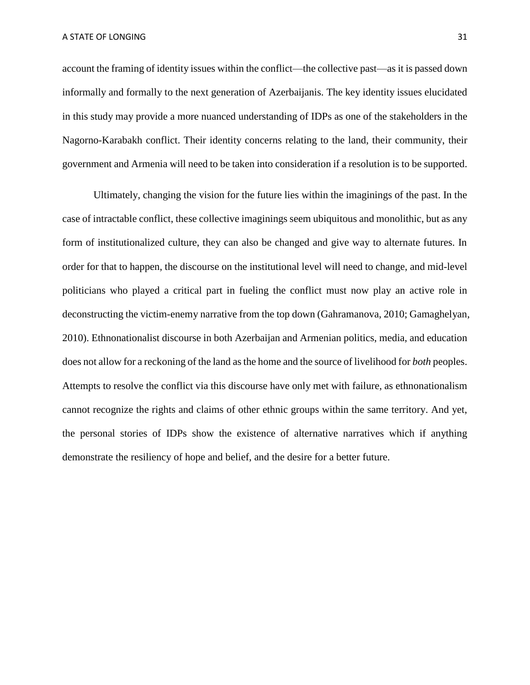account the framing of identity issues within the conflict—the collective past—as it is passed down informally and formally to the next generation of Azerbaijanis. The key identity issues elucidated in this study may provide a more nuanced understanding of IDPs as one of the stakeholders in the Nagorno-Karabakh conflict. Their identity concerns relating to the land, their community, their government and Armenia will need to be taken into consideration if a resolution is to be supported.

Ultimately, changing the vision for the future lies within the imaginings of the past. In the case of intractable conflict, these collective imaginings seem ubiquitous and monolithic, but as any form of institutionalized culture, they can also be changed and give way to alternate futures. In order for that to happen, the discourse on the institutional level will need to change, and mid-level politicians who played a critical part in fueling the conflict must now play an active role in deconstructing the victim-enemy narrative from the top down (Gahramanova, 2010; Gamaghelyan, 2010). Ethnonationalist discourse in both Azerbaijan and Armenian politics, media, and education does not allow for a reckoning of the land as the home and the source of livelihood for *both* peoples. Attempts to resolve the conflict via this discourse have only met with failure, as ethnonationalism cannot recognize the rights and claims of other ethnic groups within the same territory. And yet, the personal stories of IDPs show the existence of alternative narratives which if anything demonstrate the resiliency of hope and belief, and the desire for a better future.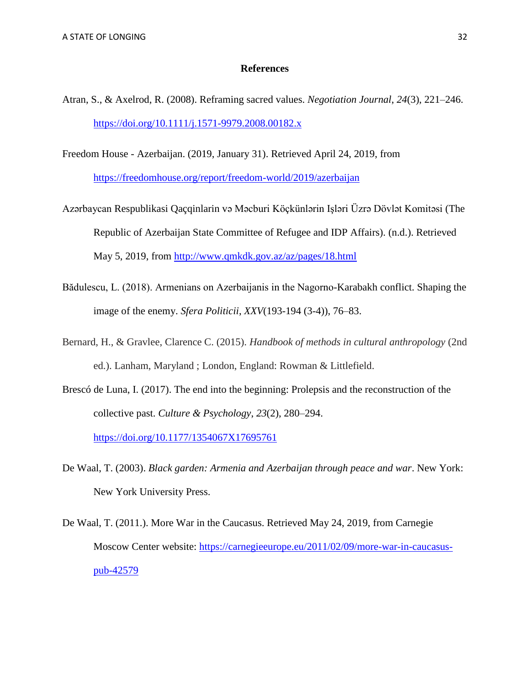#### **References**

- Atran, S., & Axelrod, R. (2008). Reframing sacred values. *Negotiation Journal*, *24*(3), 221–246. <https://doi.org/10.1111/j.1571-9979.2008.00182.x>
- Freedom House Azerbaijan. (2019, January 31). Retrieved April 24, 2019, from <https://freedomhouse.org/report/freedom-world/2019/azerbaijan>
- Azərbaycan Respublikasi Qaçqinlarin və Məcburi Köçkünlərin Işləri Üzrə Dövlət Komitəsi (The Republic of Azerbaijan State Committee of Refugee and IDP Affairs). (n.d.). Retrieved May 5, 2019, from<http://www.qmkdk.gov.az/az/pages/18.html>
- Bădulescu, L. (2018). Armenians on Azerbaijanis in the Nagorno-Karabakh conflict. Shaping the image of the enemy. *Sfera Politicii*, *XXV*(193-194 (3-4)), 76–83.
- Bernard, H., & Gravlee, Clarence C. (2015). *Handbook of methods in cultural anthropology* (2nd ed.). Lanham, Maryland ; London, England: Rowman & Littlefield.
- Brescó de Luna, I. (2017). The end into the beginning: Prolepsis and the reconstruction of the collective past. *Culture & Psychology*, *23*(2), 280–294. <https://doi.org/10.1177/1354067X17695761>
- De Waal, T. (2003). *Black garden: Armenia and Azerbaijan through peace and war*. New York: New York University Press.
- De Waal, T. (2011.). More War in the Caucasus. Retrieved May 24, 2019, from Carnegie Moscow Center website: [https://carnegieeurope.eu/2011/02/09/more-war-in-caucasus](https://carnegieeurope.eu/2011/02/09/more-war-in-caucasus-pub-42579)[pub-42579](https://carnegieeurope.eu/2011/02/09/more-war-in-caucasus-pub-42579)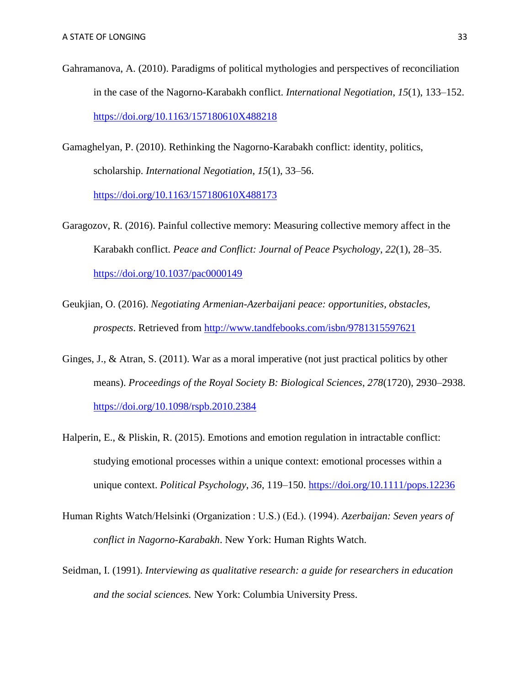- Gahramanova, A. (2010). Paradigms of political mythologies and perspectives of reconciliation in the case of the Nagorno-Karabakh conflict. *International Negotiation*, *15*(1), 133–152. <https://doi.org/10.1163/157180610X488218>
- Gamaghelyan, P. (2010). Rethinking the Nagorno-Karabakh conflict: identity, politics, scholarship. *International Negotiation*, *15*(1), 33–56. <https://doi.org/10.1163/157180610X488173>
- Garagozov, R. (2016). Painful collective memory: Measuring collective memory affect in the Karabakh conflict. *Peace and Conflict: Journal of Peace Psychology*, *22*(1), 28–35. <https://doi.org/10.1037/pac0000149>
- Geukjian, O. (2016). *Negotiating Armenian-Azerbaijani peace: opportunities, obstacles, prospects*. Retrieved from<http://www.tandfebooks.com/isbn/9781315597621>
- Ginges, J., & Atran, S. (2011). War as a moral imperative (not just practical politics by other means). *Proceedings of the Royal Society B: Biological Sciences*, *278*(1720), 2930–2938. <https://doi.org/10.1098/rspb.2010.2384>
- Halperin, E., & Pliskin, R. (2015). Emotions and emotion regulation in intractable conflict: studying emotional processes within a unique context: emotional processes within a unique context. *Political Psychology*, *36*, 119–150.<https://doi.org/10.1111/pops.12236>
- Human Rights Watch/Helsinki (Organization : U.S.) (Ed.). (1994). *Azerbaijan: Seven years of conflict in Nagorno-Karabakh*. New York: Human Rights Watch.
- Seidman, I. (1991). *Interviewing as qualitative research: a guide for researchers in education and the social sciences.* New York: Columbia University Press.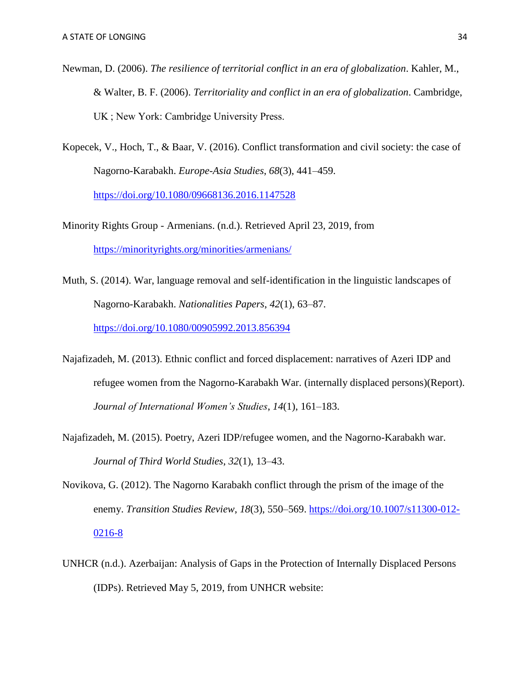- Newman, D. (2006). *The resilience of territorial conflict in an era of globalization*. Kahler, M., & Walter, B. F. (2006). *Territoriality and conflict in an era of globalization*. Cambridge, UK ; New York: Cambridge University Press.
- Kopecek, V., Hoch, T., & Baar, V. (2016). Conflict transformation and civil society: the case of Nagorno-Karabakh. *Europe-Asia Studies*, *68*(3), 441–459. <https://doi.org/10.1080/09668136.2016.1147528>
- Minority Rights Group Armenians. (n.d.). Retrieved April 23, 2019, from <https://minorityrights.org/minorities/armenians/>
- Muth, S. (2014). War, language removal and self-identification in the linguistic landscapes of Nagorno-Karabakh. *Nationalities Papers*, *42*(1), 63–87. <https://doi.org/10.1080/00905992.2013.856394>
- Najafizadeh, M. (2013). Ethnic conflict and forced displacement: narratives of Azeri IDP and refugee women from the Nagorno-Karabakh War. (internally displaced persons)(Report). *Journal of International Women's Studies*, *14*(1), 161–183.
- Najafizadeh, M. (2015). Poetry, Azeri IDP/refugee women, and the Nagorno-Karabakh war. *Journal of Third World Studies*, *32*(1), 13–43.
- Novikova, G. (2012). The Nagorno Karabakh conflict through the prism of the image of the enemy. *Transition Studies Review*, *18*(3), 550–569. [https://doi.org/10.1007/s11300-012-](https://doi.org/10.1007/s11300-012-0216-8) [0216-8](https://doi.org/10.1007/s11300-012-0216-8)
- UNHCR (n.d.). Azerbaijan: Analysis of Gaps in the Protection of Internally Displaced Persons (IDPs). Retrieved May 5, 2019, from UNHCR website: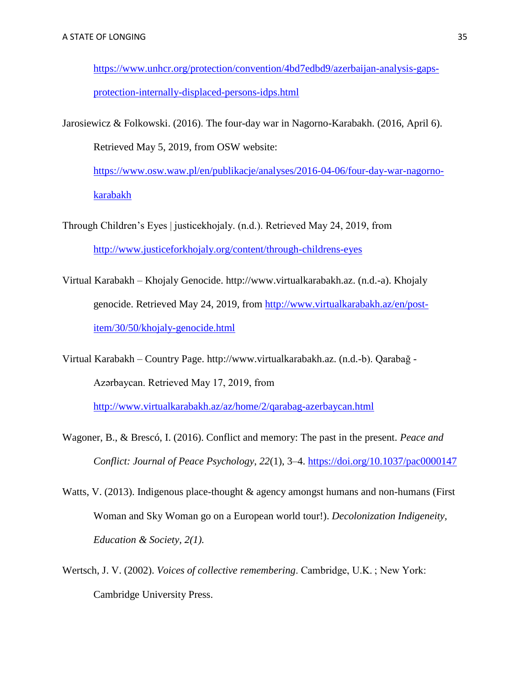[https://www.unhcr.org/protection/convention/4bd7edbd9/azerbaijan-analysis-gaps](https://www.unhcr.org/protection/convention/4bd7edbd9/azerbaijan-analysis-gaps-protection-internally-displaced-persons-idps.html)[protection-internally-displaced-persons-idps.html](https://www.unhcr.org/protection/convention/4bd7edbd9/azerbaijan-analysis-gaps-protection-internally-displaced-persons-idps.html)

- [Jarosiewicz](https://www.osw.waw.pl/en/node/15774) & Folkowski. (2016). The four-day war in Nagorno-Karabakh. (2016, April 6). Retrieved May 5, 2019, from OSW website: [https://www.osw.waw.pl/en/publikacje/analyses/2016-04-06/four-day-war-nagorno](https://www.osw.waw.pl/en/publikacje/analyses/2016-04-06/four-day-war-nagorno-karabakh)[karabakh](https://www.osw.waw.pl/en/publikacje/analyses/2016-04-06/four-day-war-nagorno-karabakh)
- Through Children's Eyes | justicekhojaly. (n.d.). Retrieved May 24, 2019, from <http://www.justiceforkhojaly.org/content/through-childrens-eyes>
- Virtual Karabakh Khojaly Genocide. http://www.virtualkarabakh.az. (n.d.-a). Khojaly genocide. Retrieved May 24, 2019, from [http://www.virtualkarabakh.az/en/post](http://www.virtualkarabakh.az/en/post-item/30/50/khojaly-genocide.html)[item/30/50/khojaly-genocide.html](http://www.virtualkarabakh.az/en/post-item/30/50/khojaly-genocide.html)
- Virtual Karabakh Country Page. http://www.virtualkarabakh.az. (n.d.-b). Qarabağ Azərbaycan. Retrieved May 17, 2019, from

<http://www.virtualkarabakh.az/az/home/2/qarabag-azerbaycan.html>

- Wagoner, B., & Brescó, I. (2016). Conflict and memory: The past in the present. *Peace and Conflict: Journal of Peace Psychology*, *22*(1), 3–4.<https://doi.org/10.1037/pac0000147>
- Watts, V. (2013). Indigenous place-thought & agency amongst humans and non-humans (First) Woman and Sky Woman go on a European world tour!). *Decolonization Indigeneity, Education & Society, 2(1).*
- Wertsch, J. V. (2002). *Voices of collective remembering*. Cambridge, U.K. ; New York: Cambridge University Press.